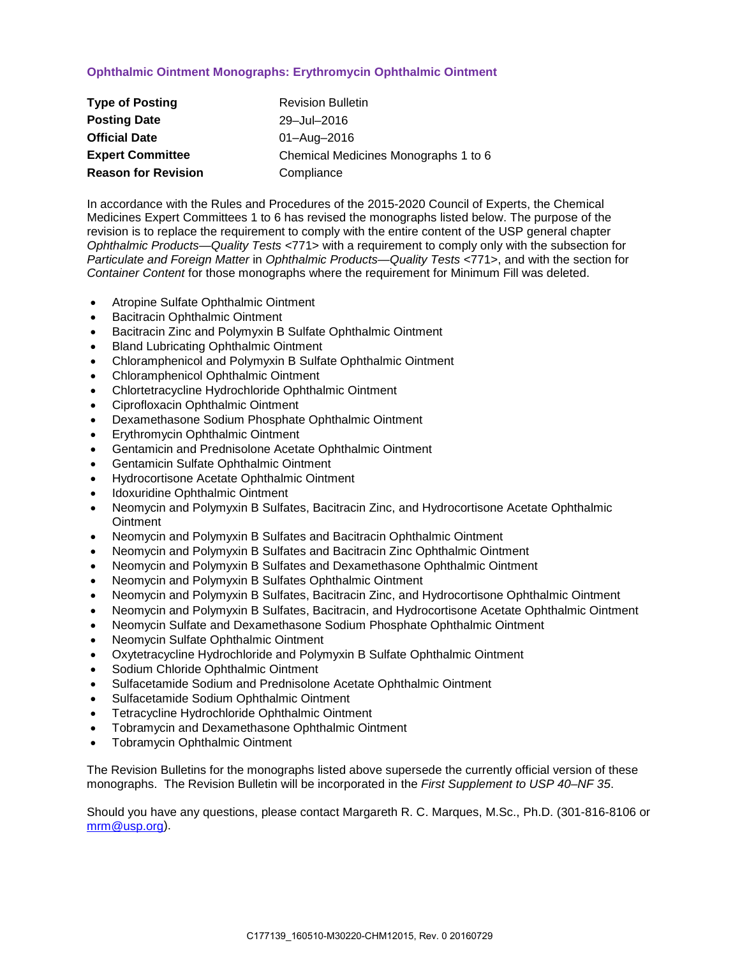# **Ophthalmic Ointment Monographs: Erythromycin Ophthalmic Ointment**

| <b>Type of Posting</b>     | <b>Revision Bulletin</b>             |  |
|----------------------------|--------------------------------------|--|
| <b>Posting Date</b>        | 29-Jul-2016                          |  |
| <b>Official Date</b>       | 01-Aug-2016                          |  |
| <b>Expert Committee</b>    | Chemical Medicines Monographs 1 to 6 |  |
| <b>Reason for Revision</b> | Compliance                           |  |

In accordance with the Rules and Procedures of the 2015-2020 Council of Experts, the Chemical Medicines Expert Committees 1 to 6 has revised the monographs listed below. The purpose of the revision is to replace the requirement to comply with the entire content of the USP general chapter *Ophthalmic Products—Quality Tests* <771> with a requirement to comply only with the subsection for *Particulate and Foreign Matter* in *Ophthalmic Products—Quality Tests* <771>, and with the section for *Container Content* for those monographs where the requirement for Minimum Fill was deleted.

- Atropine Sulfate Ophthalmic Ointment
- Bacitracin Ophthalmic Ointment
- Bacitracin Zinc and Polymyxin B Sulfate Ophthalmic Ointment
- Bland Lubricating Ophthalmic Ointment
- Chloramphenicol and Polymyxin B Sulfate Ophthalmic Ointment
- Chloramphenicol Ophthalmic Ointment
- Chlortetracycline Hydrochloride Ophthalmic Ointment
- Ciprofloxacin Ophthalmic Ointment
- Dexamethasone Sodium Phosphate Ophthalmic Ointment
- Erythromycin Ophthalmic Ointment
- Gentamicin and Prednisolone Acetate Ophthalmic Ointment
- Gentamicin Sulfate Ophthalmic Ointment
- Hydrocortisone Acetate Ophthalmic Ointment
- Idoxuridine Ophthalmic Ointment
- Neomycin and Polymyxin B Sulfates, Bacitracin Zinc, and Hydrocortisone Acetate Ophthalmic **Ointment**
- Neomycin and Polymyxin B Sulfates and Bacitracin Ophthalmic Ointment
- Neomycin and Polymyxin B Sulfates and Bacitracin Zinc Ophthalmic Ointment
- Neomycin and Polymyxin B Sulfates and Dexamethasone Ophthalmic Ointment
- Neomycin and Polymyxin B Sulfates Ophthalmic Ointment
- Neomycin and Polymyxin B Sulfates, Bacitracin Zinc, and Hydrocortisone Ophthalmic Ointment
- Neomycin and Polymyxin B Sulfates, Bacitracin, and Hydrocortisone Acetate Ophthalmic Ointment
- Neomycin Sulfate and Dexamethasone Sodium Phosphate Ophthalmic Ointment
- Neomycin Sulfate Ophthalmic Ointment
- Oxytetracycline Hydrochloride and Polymyxin B Sulfate Ophthalmic Ointment
- Sodium Chloride Ophthalmic Ointment
- Sulfacetamide Sodium and Prednisolone Acetate Ophthalmic Ointment
- Sulfacetamide Sodium Ophthalmic Ointment
- Tetracycline Hydrochloride Ophthalmic Ointment
- Tobramycin and Dexamethasone Ophthalmic Ointment
- Tobramycin Ophthalmic Ointment

The Revision Bulletins for the monographs listed above supersede the currently official version of these monographs. The Revision Bulletin will be incorporated in the *First Supplement to USP 40–NF 35*.

Should you have any questions, please contact Margareth R. C. Marques, M.Sc., Ph.D. (301-816-8106 or [mrm@usp.org\)](mailto:mrm@usp.org).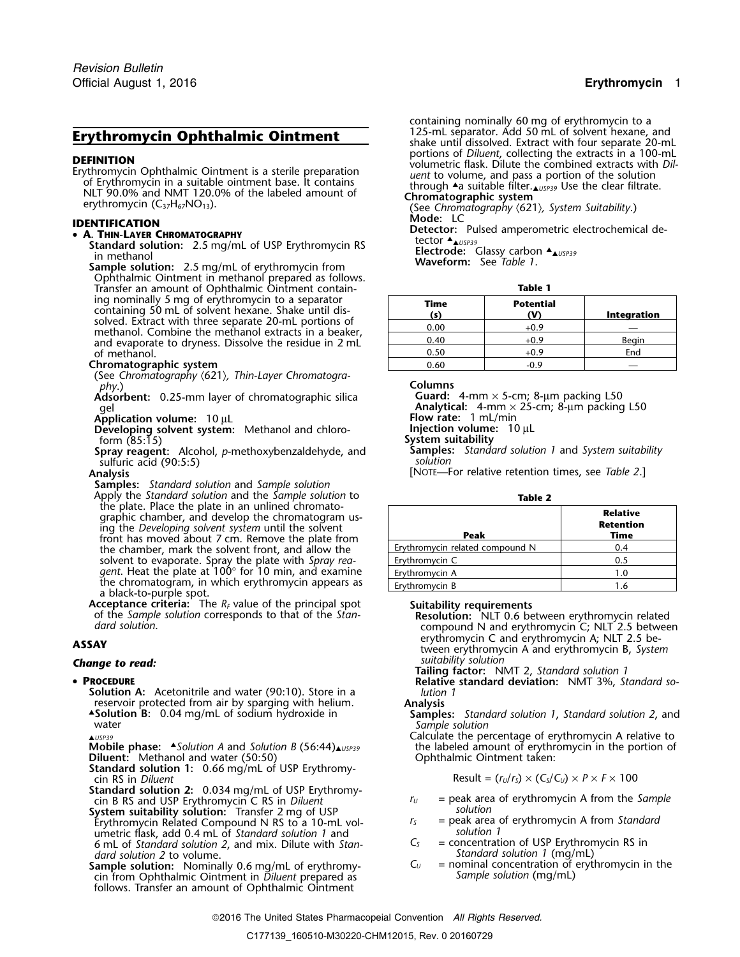**DEFINITION**<br>
Erythromycin Ophthalmic Ointment is a sterile preparation<br>
of Erythromycin in a suitable ointment base. It contains<br>
NLT 90.0% and NMT 120.0% of the labeled amount of<br>
erythromycin (C<sub>37</sub>H<sub>67</sub>NO<sub>13</sub>).<br>
eryth

### **• A. THIN-LAYER CHROMATOGRAPHY**

Standard solution: 2.5 mg/mL of USP Erythromycin RS<br>
in methanol **Electrode:** Glassy carbon ▲<br>
Sample solution: 2.5 mg/mL of envthromycin from **Waveform:** See Table 1.

**Sample solution:** 2.5 mg/mL of erythromycin from Ophthalmic Ointment in methanol prepared as follows. Transfer an amount of Ophthalmic Ointment contain- **Table 1** ing nominally 5 mg of erythromycin to a separator<br>containing 50 mL of solvent hexane. Shake until dis-<br>solved. Extract with three separate 20-mL portions of<br>methanol. Combine the methanol extracts in a beaker,<br>and evaporat of methanol.

### **Chromatographic system**

(See *Chromatography* 〈621〉*, Thin-Layer Chromatogra<sup>p</sup>hy*.) **Columns**

phy.)<br>**Adsorbent:** 0.25-mm layer of chromatographic silica<br>gel

**Application volume:** 10 μL<br>**Developing solvent system:** Methanol and chloro- **Flow rate:** 1 mL/min **Developing solvent system:** Methanol and chloroform (85:15) **System suitability**

**Spray reagent:** Alcohol, *p*-methoxybenzaldehyde, and **Samples**<br>sulfuric acid (90:5:5) sulfuric acid (90:5:5)

**Samples:** *Standard solution* and *Sample solution* Apply the *Standard solution* and the *Sample solution* to **Table 2**<br>the plate. Place the plate in an unlined chromatographic chamber, and develop the chromatogram us-<br>ing the *Developing solvent system* until the solvent front has moved about 7 cm. Remove the plate from the chamber, mark the solvent front, and allow the solvent to evaporate. Spray the plate with Spray rea- <u>Frythromycin C 0.5 percent constant</u> the unit of the stra *gent*. Heat the plate at 100° for 10 min, and examine **E**rythromycin A 1.0 the chromatogram, in which erythromycin appears as<br>a black-to-purple spot.<br>**Acceptance criteria:** The  $R_F$  value of the principal spot.

### • PROCEDURE

**Solution A:** Acetonitrile and water (90:10). Store in a *lution* reservoir protected from air by sparging with helium. **Analysis** reservoir protected from air by sparging with helium. ▲Solution B: 0.04 mg/mL of sodium hydroxide in water **Sample solution**<br>Calculate the percentage of erythromycin A relative to reverse calculate the percentage of erythromycin A relative to

**Mobile phase:** A Solution A and Solution B (56:44)  $\mu_{USP39}$  the labeled amount of erythromycin in the portion of **Diluent:** Methanol and water (50:50) <br>**Diluent:** Methanol and water (50:50) **Diluential Continential** Di

*cin RS in Diluent* 

**Standard solution 2:** 0.034 mg/mL of USP Erythromy-

**System suitability solution:** Transfer 2 mg of USP<br>Erythromycin Related Compound N RS to a 10-mL vol-<br>Figure 1 mg of enginement of erythromycin A from Standard Erythromycin Related Compound N RS to a 10-mL vol- *<sup>r</sup><sup>S</sup>* = peak area of erythromycin A from *Standard* umetric flask, add 0.4 mL of *Standard solution 1* and *solution 1* 6 mL of *Standard solution 2*, and mix. Dilute with *Stan- C<sub>S</sub>* = concentration of USP Erythromycin RS in *dard solution 2* to volume. *Standard solution 2* to volume.

**Sample solution:** Nominally 0.6 mg/mL of erythromy- *C<sub>U</sub>* = nominal concentration of expression cin from Ophthalmic Ointment in Diluent prepared as *Sample solution* (mg/mL) cin from Ophthalmic Ointment in *Diluent* prepared as follows. Transfer an amount of Ophthalmic Ointment

containing nominally 60 mg of erythromycin to a<br>125-mL separator. Add 50 mL of solvent hexane, and **123-mL separator. Add 50 mL of solvent hexane, and <b>Erythromycin Ophthalmic Ointment**<br>Shake until dissolved. Extract with four separate 20-mL<br>portions of *Diluent*, collecting the extracts in a 100-mL

**IDENTIFICATION**<br>
• **A. THIN-LAYER CHROMATOGRAPHY**<br>
• **Condand colution:** 2.5 mg/ml of LISD En*ithromicin* RS<br>
• England colution: 2.5 mg/ml of LISD En*ithromicin* RS<br>
• Ector  $A_{\mu \nu \beta \beta \beta}$ 

| Time<br>(s | <b>Potential</b><br>w | Integration |
|------------|-----------------------|-------------|
| 0.00       | -0.9                  |             |
| 0.40       | 0.9                   | Begin       |
| 0.50       | -0.9                  | End         |
| N 60       | -05                   |             |

Guard: 4-mm × 5-cm; 8-µm packing L50<br>Analytical: 4-mm × 25-cm; 8-µm packing L50<br>Flow rate: 1 mL/min

**Analysis** [NOTE—For relative retention times, see *Table 2*.]

| Peak                            | <b>Relative</b><br><b>Retention</b><br>Time |
|---------------------------------|---------------------------------------------|
| Erythromycin related compound N | 0.4                                         |
| Erythromycin C                  | 0.5                                         |
| Erythromycin A                  | 1.0                                         |
| Erythromycin B                  | 1.6                                         |

**Acceptance criteria:** The *RF* value of the principal spot **Suitability requirements** of the *Sample solution* corresponds to that of the *Stan-* **Resolution:** NLT 0.6 between erythromycin related *dard solution*. compound N and erythromycin C; NLT 2.5 between erythromycin C and erythromycin A; NLT 2.5 be- **ASSAY** tween erythromycin A and erythromycin B, *System*

*suitability solution Change to read:* **Tailing factor:** NMT 2, *Standard solution 1*

**Relative standard deviation:** NMT 3%, *Standard so-*<br>lution 1

**Samples:** *Standard solution 1, Standard solution 2, and* 

$$
Result = (r_U/r_S) \times (C_S/C_U) \times P \times F \times 100
$$

- cin B RS and USP Erythromycin C RS in *Diluent <sup>r</sup><sup>U</sup>* = peak area of erythromycin A from the *Sample*
	-
	-
	- *dard solution 1* (mg/mL)<br>*C<sub>u</sub>* = nominal concentration of erythromycin in the

2016 The United States Pharmacopeial Convention *All Rights Reserved.*